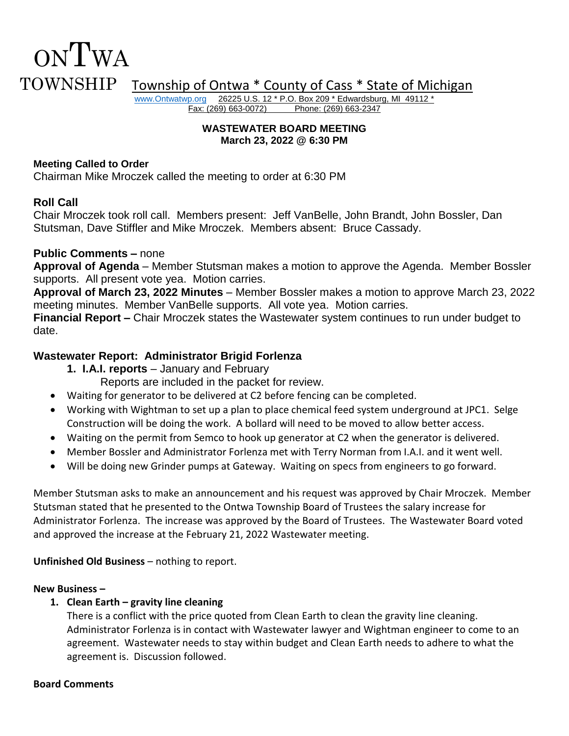# ONTWA TOWNSHIP Township of Ontwa \* County of Cass \* State of Michigan

[www.Ontwatwp.org](http://www.ontwatwp.org/) 26225 U.S. 12 \* P.O. Box 209 \* Edwardsburg, MI 49112 \*<br>Fax: (269) 663-0072) Phone: (269) 663-2347 Phone: (269) 663-2347

#### **WASTEWATER BOARD MEETING March 23, 2022 @ 6:30 PM**

#### **Meeting Called to Order**

Chairman Mike Mroczek called the meeting to order at 6:30 PM

# **Roll Call**

Chair Mroczek took roll call. Members present: Jeff VanBelle, John Brandt, John Bossler, Dan Stutsman, Dave Stiffler and Mike Mroczek. Members absent: Bruce Cassady.

### **Public Comments –** none

**Approval of Agenda** – Member Stutsman makes a motion to approve the Agenda. Member Bossler supports. All present vote yea. Motion carries.

**Approval of March 23, 2022 Minutes** – Member Bossler makes a motion to approve March 23, 2022 meeting minutes. Member VanBelle supports. All vote yea. Motion carries.

**Financial Report –** Chair Mroczek states the Wastewater system continues to run under budget to date.

# **Wastewater Report: Administrator Brigid Forlenza**

**1. I.A.I. reports** – January and February

Reports are included in the packet for review.

- Waiting for generator to be delivered at C2 before fencing can be completed.
- Working with Wightman to set up a plan to place chemical feed system underground at JPC1. Selge Construction will be doing the work. A bollard will need to be moved to allow better access.
- Waiting on the permit from Semco to hook up generator at C2 when the generator is delivered.
- Member Bossler and Administrator Forlenza met with Terry Norman from I.A.I. and it went well.
- Will be doing new Grinder pumps at Gateway. Waiting on specs from engineers to go forward.

Member Stutsman asks to make an announcement and his request was approved by Chair Mroczek. Member Stutsman stated that he presented to the Ontwa Township Board of Trustees the salary increase for Administrator Forlenza. The increase was approved by the Board of Trustees. The Wastewater Board voted and approved the increase at the February 21, 2022 Wastewater meeting.

**Unfinished Old Business** – nothing to report.

#### **New Business –**

# **1. Clean Earth – gravity line cleaning**

There is a conflict with the price quoted from Clean Earth to clean the gravity line cleaning. Administrator Forlenza is in contact with Wastewater lawyer and Wightman engineer to come to an agreement. Wastewater needs to stay within budget and Clean Earth needs to adhere to what the agreement is. Discussion followed.